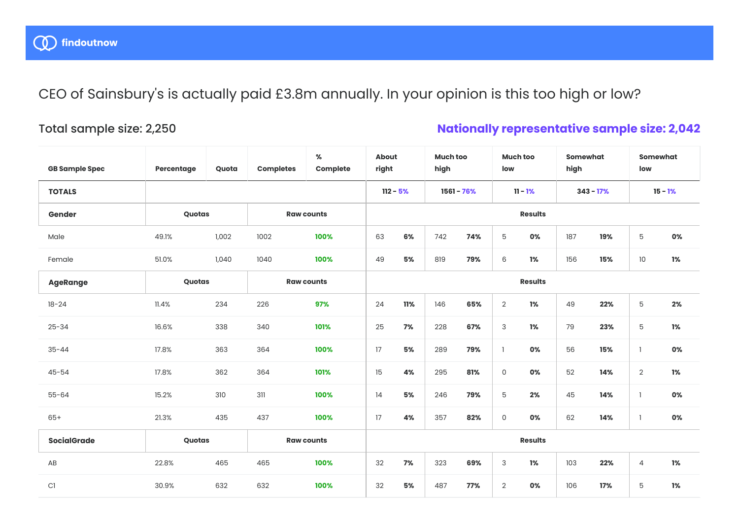CEO of Sainsbury's is actually paid £3.8m annually. In your opinion is this too high or low?

## Total sample size: 2,250

## **Nationally representative sample size: 2,042**

| <b>GB Sample Spec</b> | Percentage | Quota      | <b>Completes</b>  | $\%$<br>Complete | <b>About</b><br>right |     | <b>Much too</b><br>high |     | <b>Much too</b><br>low |    | <b>Somewhat</b><br>high |     | <b>Somewhat</b><br>low |    |
|-----------------------|------------|------------|-------------------|------------------|-----------------------|-----|-------------------------|-----|------------------------|----|-------------------------|-----|------------------------|----|
| <b>TOTALS</b>         |            | $112 - 5%$ |                   |                  |                       |     | 1561 - 76%              |     | $11 - 1%$              |    | $343 - 17%$             |     | $15 - 1%$              |    |
| Gender                | Quotas     |            | <b>Raw counts</b> |                  | <b>Results</b>        |     |                         |     |                        |    |                         |     |                        |    |
| Male                  | 49.1%      | 1,002      | 1002              | 100%             | 63                    | 6%  | 742                     | 74% | $\mathbf 5$            | 0% | 187                     | 19% | 5                      | 0% |
| Female                | 51.0%      | 1,040      | 1040              | 100%             | 49                    | 5%  | 819                     | 79% | $\,6\,$                | 1% | 156                     | 15% | $10$                   | 1% |
| <b>AgeRange</b>       | Quotas     |            | <b>Raw counts</b> |                  | <b>Results</b>        |     |                         |     |                        |    |                         |     |                        |    |
| $18 - 24$             | 11.4%      | 234        | 226               | 97%              | 24                    | 11% | 146                     | 65% | $\sqrt{2}$             | 1% | 49                      | 22% | 5                      | 2% |
| $25 - 34$             | 16.6%      | 338        | 340               | 101%             | 25                    | 7%  | 228                     | 67% | 3                      | 1% | 79                      | 23% | 5                      | 1% |
| $35 - 44$             | 17.8%      | 363        | 364               | 100%             | 17                    | 5%  | 289                     | 79% | $\mathbf{1}$           | 0% | 56                      | 15% | $\mathbf{1}$           | 0% |
| $45 - 54$             | 17.8%      | 362        | 364               | 101%             | 15                    | 4%  | 295                     | 81% | $\mathsf{O}$           | 0% | 52                      | 14% | $\overline{2}$         | 1% |
| $55 - 64$             | 15.2%      | 310        | 311               | 100%             | 14                    | 5%  | 246                     | 79% | 5                      | 2% | 45                      | 14% | $\mathbf{1}$           | 0% |
| $65+$                 | 21.3%      | 435        | 437               | 100%             | 17                    | 4%  | 357                     | 82% | $\mathsf O$            | 0% | 62                      | 14% | $\overline{1}$         | 0% |
| <b>SocialGrade</b>    | Quotas     |            | <b>Raw counts</b> |                  | <b>Results</b>        |     |                         |     |                        |    |                         |     |                        |    |
| AB                    | 22.8%      | 465        | 465               | 100%             | 32                    | 7%  | 323                     | 69% | 3                      | 1% | 103                     | 22% | 4                      | 1% |
| C1                    | 30.9%      | 632        | 632               | 100%             | 32                    | 5%  | 487                     | 77% | $\overline{2}$         | 0% | 106                     | 17% | 5                      | 1% |